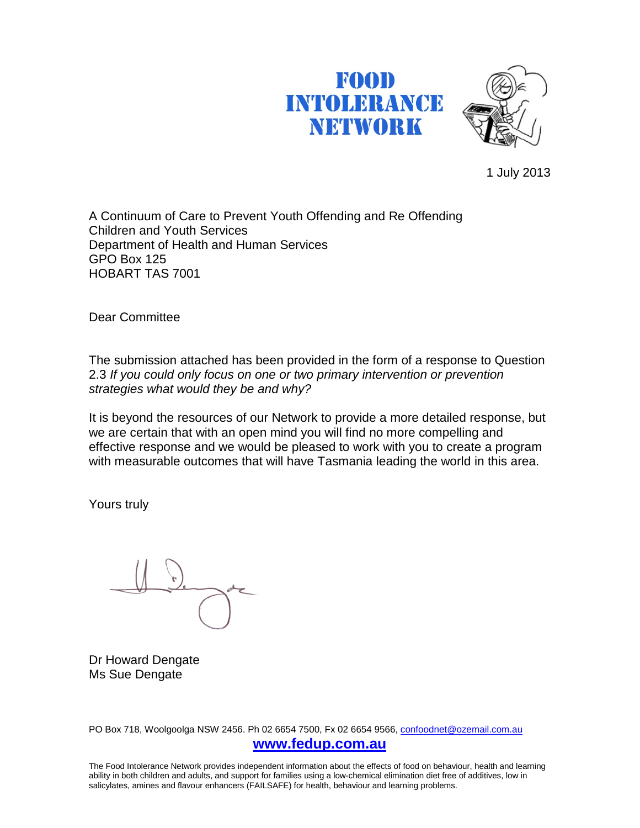# FOOD **INTOLERANCE** NETWORK



1 July 2013

A Continuum of Care to Prevent Youth Offending and Re Offending Children and Youth Services Department of Health and Human Services GPO Box 125 HOBART TAS 7001

Dear Committee

The submission attached has been provided in the form of a response to Question 2.3 *If you could only focus on one or two primary intervention or prevention strategies what would they be and why?*

It is beyond the resources of our Network to provide a more detailed response, but we are certain that with an open mind you will find no more compelling and effective response and we would be pleased to work with you to create a program with measurable outcomes that will have Tasmania leading the world in this area.

Yours truly

Dr Howard Dengate Ms Sue Dengate

PO Box 718, Woolgoolga NSW 2456. Ph 02 6654 7500, Fx 02 6654 9566, [confoodnet@ozemail.com.au](mailto:confoodnet@ozemail.com.au) **[www.fedup.com.au](http://www.fedup.com.au/)**

The Food Intolerance Network provides independent information about the effects of food on behaviour, health and learning ability in both children and adults, and support for families using a low-chemical elimination diet free of additives, low in salicylates, amines and flavour enhancers (FAILSAFE) for health, behaviour and learning problems.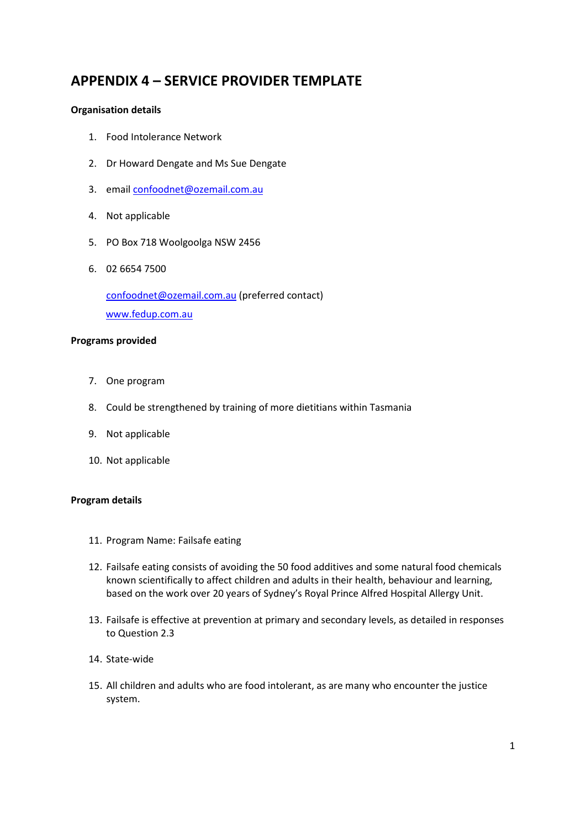# **APPENDIX 4 – SERVICE PROVIDER TEMPLATE**

#### **Organisation details**

- 1. Food Intolerance Network
- 2. Dr Howard Dengate and Ms Sue Dengate
- 3. email confoodnet@ozemail.com.au
- 4. Not applicable
- 5. PO Box 718 Woolgoolga NSW 2456
- 6. 02 6654 7500

[confoodnet@ozemail.com.au](mailto:confoodnet@ozemail.com.au) (preferred contact) [www.fedup.com.au](http://www.fedup.com.au/)

#### **Programs provided**

- 7. One program
- 8. Could be strengthened by training of more dietitians within Tasmania
- 9. Not applicable
- 10. Not applicable

#### **Program details**

- 11. Program Name: Failsafe eating
- 12. Failsafe eating consists of avoiding the 50 food additives and some natural food chemicals known scientifically to affect children and adults in their health, behaviour and learning, based on the work over 20 years of Sydney's Royal Prince Alfred Hospital Allergy Unit.
- 13. Failsafe is effective at prevention at primary and secondary levels, as detailed in responses to Question 2.3
- 14. State-wide
- 15. All children and adults who are food intolerant, as are many who encounter the justice system.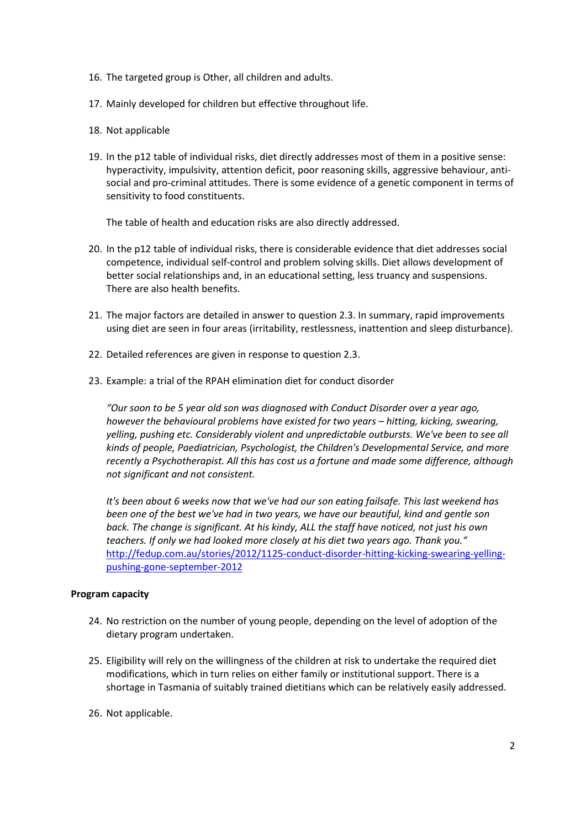- 16. The targeted group is Other, all children and adults.
- 17. Mainly developed for children but effective throughout life.
- 18. Not applicable
- 19. In the p12 table of individual risks, diet directly addresses most of them in a positive sense: hyperactivity, impulsivity, attention deficit, poor reasoning skills, aggressive behaviour, antisocial and pro-criminal attitudes. There is some evidence of a genetic component in terms of sensitivity to food constituents.

The table of health and education risks are also directly addressed.

- 20. In the p12 table of individual risks, there is considerable evidence that diet addresses social competence, individual self-control and problem solving skills. Diet allows development of better social relationships and, in an educational setting, less truancy and suspensions. There are also health benefits.
- 21. The major factors are detailed in answer to question 2.3. In summary, rapid improvements using diet are seen in four areas (irritability, restlessness, inattention and sleep disturbance).
- 22. Detailed references are given in response to question 2.3.
- 23. Example: a trial of the RPAH elimination diet for conduct disorder

*"Our soon to be 5 year old son was diagnosed with Conduct Disorder over a year ago, however the behavioural problems have existed for two years – hitting, kicking, swearing, yelling, pushing etc. Considerably violent and unpredictable outbursts. We've been to see all kinds of people, Paediatrician, Psychologist, the Children's Developmental Service, and more recently a Psychotherapist. All this has cost us a fortune and made some difference, although not significant and not consistent.* 

*It's been about 6 weeks now that we've had our son eating failsafe. This last weekend has been one of the best we've had in two years, we have our beautiful, kind and gentle son back. The change is significant. At his kindy, ALL the staff have noticed, not just his own teachers. If only we had looked more closely at his diet two years ago. Thank you."* [http://fedup.com.au/stories/2012/1125-conduct-disorder-hitting-kicking-swearing-yelling](http://fedup.com.au/stories/2012/1125-conduct-disorder-hitting-kicking-swearing-yelling-pushing-gone-september-2012)[pushing-gone-september-2012](http://fedup.com.au/stories/2012/1125-conduct-disorder-hitting-kicking-swearing-yelling-pushing-gone-september-2012) 

#### **Program capacity**

- 24. No restriction on the number of young people, depending on the level of adoption of the dietary program undertaken.
- 25. Eligibility will rely on the willingness of the children at risk to undertake the required diet modifications, which in turn relies on either family or institutional support. There is a shortage in Tasmania of suitably trained dietitians which can be relatively easily addressed.
- 26. Not applicable.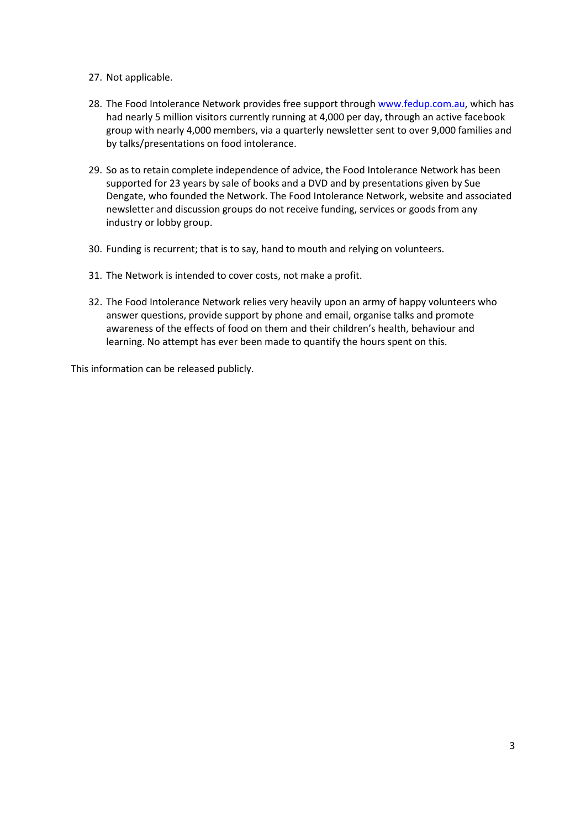- 27. Not applicable.
- 28. The Food Intolerance Network provides free support through [www.fedup.com.au,](http://www.fedup.com.au/) which has had nearly 5 million visitors currently running at 4,000 per day, through an active facebook group with nearly 4,000 members, via a quarterly newsletter sent to over 9,000 families and by talks/presentations on food intolerance.
- 29. So as to retain complete independence of advice, the Food Intolerance Network has been supported for 23 years by sale of books and a DVD and by presentations given by Sue Dengate, who founded the Network. The Food Intolerance Network, website and associated newsletter and discussion groups do not receive funding, services or goods from any industry or lobby group.
- 30. Funding is recurrent; that is to say, hand to mouth and relying on volunteers.
- 31. The Network is intended to cover costs, not make a profit.
- 32. The Food Intolerance Network relies very heavily upon an army of happy volunteers who answer questions, provide support by phone and email, organise talks and promote awareness of the effects of food on them and their children's health, behaviour and learning. No attempt has ever been made to quantify the hours spent on this.

This information can be released publicly.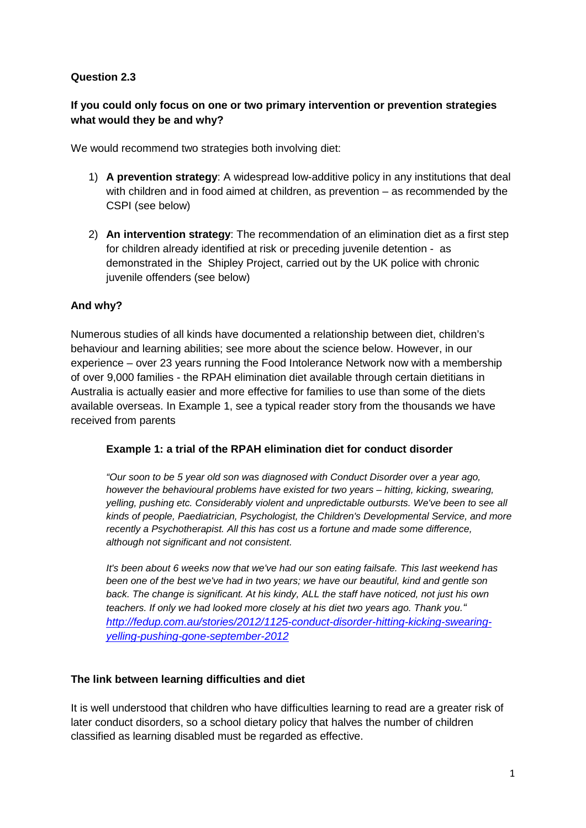# **Question 2.3**

# **If you could only focus on one or two primary intervention or prevention strategies what would they be and why?**

We would recommend two strategies both involving diet:

- 1) **A prevention strategy**: A widespread low-additive policy in any institutions that deal with children and in food aimed at children, as prevention – as recommended by the CSPI (see below)
- 2) **An intervention strategy**: The recommendation of an elimination diet as a first step for children already identified at risk or preceding juvenile detention - as demonstrated in the Shipley Project, carried out by the UK police with chronic juvenile offenders (see below)

# **And why?**

Numerous studies of all kinds have documented a relationship between diet, children's behaviour and learning abilities; see more about the science below. However, in our experience – over 23 years running the Food Intolerance Network now with a membership of over 9,000 families - the RPAH elimination diet available through certain dietitians in Australia is actually easier and more effective for families to use than some of the diets available overseas. In Example 1, see a typical reader story from the thousands we have received from parents

#### **Example 1: a trial of the RPAH elimination diet for conduct disorder**

*"Our soon to be 5 year old son was diagnosed with Conduct Disorder over a year ago, however the behavioural problems have existed for two years – hitting, kicking, swearing, yelling, pushing etc. Considerably violent and unpredictable outbursts. We've been to see all kinds of people, Paediatrician, Psychologist, the Children's Developmental Service, and more recently a Psychotherapist. All this has cost us a fortune and made some difference, although not significant and not consistent.*

*It's been about 6 weeks now that we've had our son eating failsafe. This last weekend has been one of the best we've had in two years; we have our beautiful, kind and gentle son back. The change is significant. At his kindy, ALL the staff have noticed, not just his own teachers. If only we had looked more closely at his diet two years ago. Thank you." [http://fedup.com.au/stories/2012/1125-conduct-disorder-hitting-kicking-swearing](http://fedup.com.au/stories/2012/1125-conduct-disorder-hitting-kicking-swearing-yelling-pushing-gone-september-2012)[yelling-pushing-gone-september-2012](http://fedup.com.au/stories/2012/1125-conduct-disorder-hitting-kicking-swearing-yelling-pushing-gone-september-2012)*

# **The link between learning difficulties and diet**

It is well understood that children who have difficulties learning to read are a greater risk of later conduct disorders, so a school dietary policy that halves the number of children classified as learning disabled must be regarded as effective.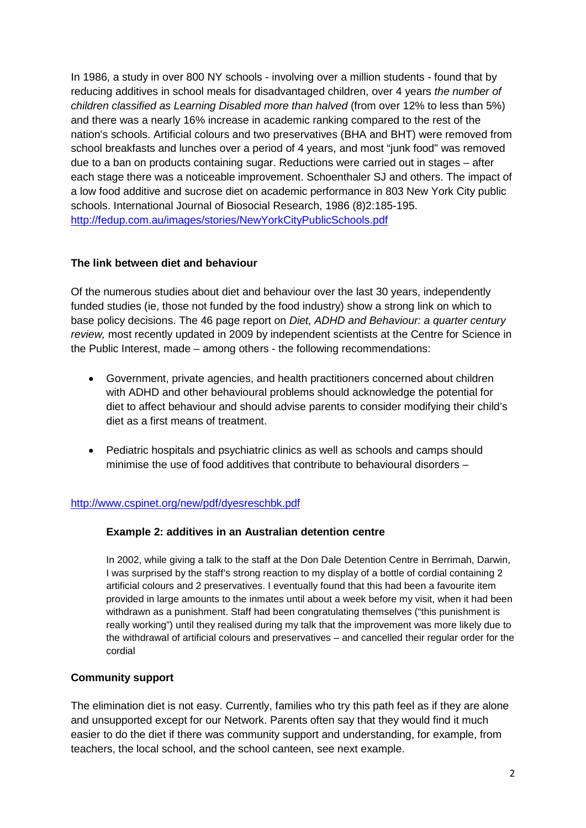In 1986, a study in over 800 NY schools - involving over a million students - found that by reducing additives in school meals for disadvantaged children, over 4 years *the number of children classified as Learning Disabled more than halved* (from over 12% to less than 5%) and there was a nearly 16% increase in academic ranking compared to the rest of the nation's schools. Artificial colours and two preservatives (BHA and BHT) were removed from school breakfasts and lunches over a period of 4 years, and most "junk food" was removed due to a ban on products containing sugar. Reductions were carried out in stages – after each stage there was a noticeable improvement. Schoenthaler SJ and others. The impact of a low food additive and sucrose diet on academic performance in 803 New York City public schools. International Journal of Biosocial Research, 1986 (8)2:185-195. <http://fedup.com.au/images/stories/NewYorkCityPublicSchools.pdf>

# **The link between diet and behaviour**

Of the numerous studies about diet and behaviour over the last 30 years, independently funded studies (ie, those not funded by the food industry) show a strong link on which to base policy decisions. The 46 page report on *Diet, ADHD and Behaviour: a quarter century review,* most recently updated in 2009 by independent scientists at the Centre for Science in the Public Interest, made – among others - the following recommendations:

- Government, private agencies, and health practitioners concerned about children with ADHD and other behavioural problems should acknowledge the potential for diet to affect behaviour and should advise parents to consider modifying their child's diet as a first means of treatment.
- Pediatric hospitals and psychiatric clinics as well as schools and camps should minimise the use of food additives that contribute to behavioural disorders –

#### <http://www.cspinet.org/new/pdf/dyesreschbk.pdf>

#### **Example 2: additives in an Australian detention centre**

In 2002, while giving a talk to the staff at the Don Dale Detention Centre in Berrimah, Darwin, I was surprised by the staff's strong reaction to my display of a bottle of cordial containing 2 artificial colours and 2 preservatives. I eventually found that this had been a favourite item provided in large amounts to the inmates until about a week before my visit, when it had been withdrawn as a punishment. Staff had been congratulating themselves ("this punishment is really working") until they realised during my talk that the improvement was more likely due to the withdrawal of artificial colours and preservatives – and cancelled their regular order for the cordial

# **Community support**

The elimination diet is not easy. Currently, families who try this path feel as if they are alone and unsupported except for our Network. Parents often say that they would find it much easier to do the diet if there was community support and understanding, for example, from teachers, the local school, and the school canteen, see next example.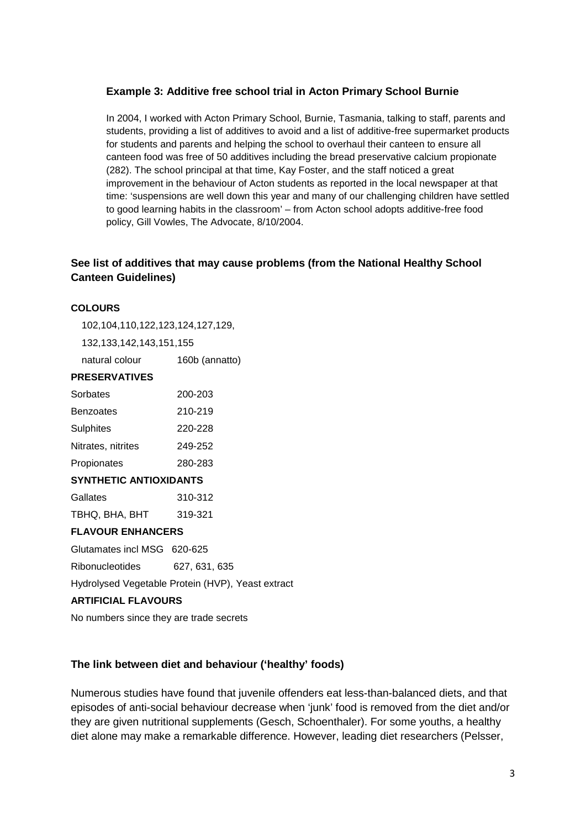#### **Example 3: Additive free school trial in Acton Primary School Burnie**

In 2004, I worked with Acton Primary School, Burnie, Tasmania, talking to staff, parents and students, providing a list of additives to avoid and a list of additive-free supermarket products for students and parents and helping the school to overhaul their canteen to ensure all canteen food was free of 50 additives including the bread preservative calcium propionate (282). The school principal at that time, Kay Foster, and the staff noticed a great improvement in the behaviour of Acton students as reported in the local newspaper at that time: 'suspensions are well down this year and many of our challenging children have settled to good learning habits in the classroom' – from Acton school adopts additive-free food policy, Gill Vowles, The Advocate, 8/10/2004.

#### **See list of additives that may cause problems (from the National Healthy School Canteen Guidelines)**

#### **COLOURS**

102,104,110,122,123,124,127,129,

132,133,142,143,151,155

natural colour 160b (annatto)

#### **PRESERVATIVES**

| Sorbates           | 200-203 |
|--------------------|---------|
| <b>Benzoates</b>   | 210-219 |
| <b>Sulphites</b>   | 220-228 |
| Nitrates, nitrites | 249-252 |
| Propionates        | 280-283 |

#### **SYNTHETIC ANTIOXIDANTS**

| Gallates       | 310-312 |
|----------------|---------|
| TBHQ, BHA, BHT | 319-321 |

#### **FLAVOUR ENHANCERS**

Glutamates incl MSG 620-625

Ribonucleotides 627, 631, 635

Hydrolysed Vegetable Protein (HVP), Yeast extract

#### **ARTIFICIAL FLAVOURS**

No numbers since they are trade secrets

#### **The link between diet and behaviour ('healthy' foods)**

Numerous studies have found that juvenile offenders eat less-than-balanced diets, and that episodes of anti-social behaviour decrease when 'junk' food is removed from the diet and/or they are given nutritional supplements (Gesch, Schoenthaler). For some youths, a healthy diet alone may make a remarkable difference. However, leading diet researchers (Pelsser,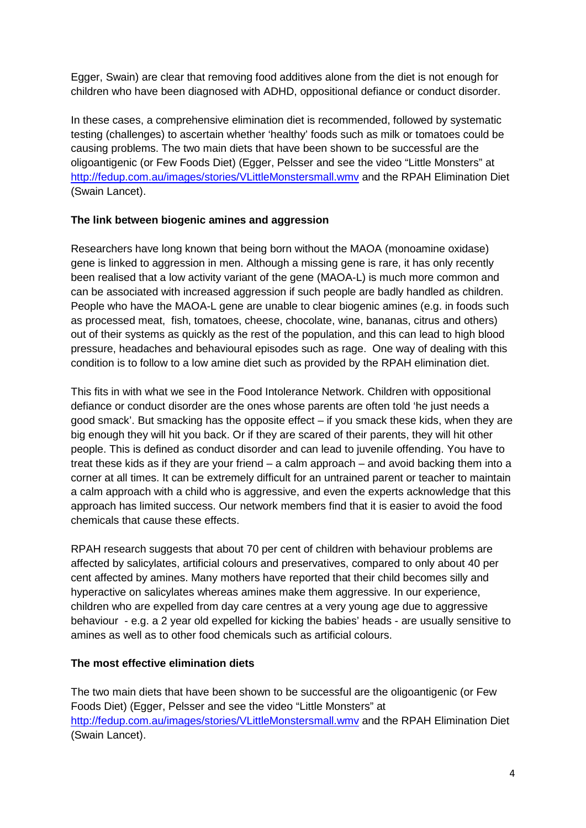Egger, Swain) are clear that removing food additives alone from the diet is not enough for children who have been diagnosed with ADHD, oppositional defiance or conduct disorder.

In these cases, a comprehensive elimination diet is recommended, followed by systematic testing (challenges) to ascertain whether 'healthy' foods such as milk or tomatoes could be causing problems. The two main diets that have been shown to be successful are the oligoantigenic (or Few Foods Diet) (Egger, Pelsser and see the video "Little Monsters" at <http://fedup.com.au/images/stories/VLittleMonstersmall.wmv> and the RPAH Elimination Diet (Swain Lancet).

# **The link between biogenic amines and aggression**

Researchers have long known that being born without the MAOA (monoamine oxidase) gene is linked to aggression in men. Although a missing gene is rare, it has only recently been realised that a low activity variant of the gene (MAOA-L) is much more common and can be associated with increased aggression if such people are badly handled as children. People who have the MAOA-L gene are unable to clear biogenic amines (e.g. in foods such as processed meat, fish, tomatoes, cheese, chocolate, wine, bananas, citrus and others) out of their systems as quickly as the rest of the population, and this can lead to high blood pressure, headaches and behavioural episodes such as rage. One way of dealing with this condition is to follow to a low amine diet such as provided by the RPAH elimination diet.

This fits in with what we see in the Food Intolerance Network. Children with oppositional defiance or conduct disorder are the ones whose parents are often told 'he just needs a good smack'. But smacking has the opposite effect – if you smack these kids, when they are big enough they will hit you back. Or if they are scared of their parents, they will hit other people. This is defined as conduct disorder and can lead to juvenile offending. You have to treat these kids as if they are your friend – a calm approach – and avoid backing them into a corner at all times. It can be extremely difficult for an untrained parent or teacher to maintain a calm approach with a child who is aggressive, and even the experts acknowledge that this approach has limited success. Our network members find that it is easier to avoid the food chemicals that cause these effects.

RPAH research suggests that about 70 per cent of children with behaviour problems are affected by salicylates, artificial colours and preservatives, compared to only about 40 per cent affected by amines. Many mothers have reported that their child becomes silly and hyperactive on salicylates whereas amines make them aggressive. In our experience, children who are expelled from day care centres at a very young age due to aggressive behaviour - e.g. a 2 year old expelled for kicking the babies' heads - are usually sensitive to amines as well as to other food chemicals such as artificial colours.

# **The most effective elimination diets**

The two main diets that have been shown to be successful are the oligoantigenic (or Few Foods Diet) (Egger, Pelsser and see the video "Little Monsters" at <http://fedup.com.au/images/stories/VLittleMonstersmall.wmv> and the RPAH Elimination Diet (Swain Lancet).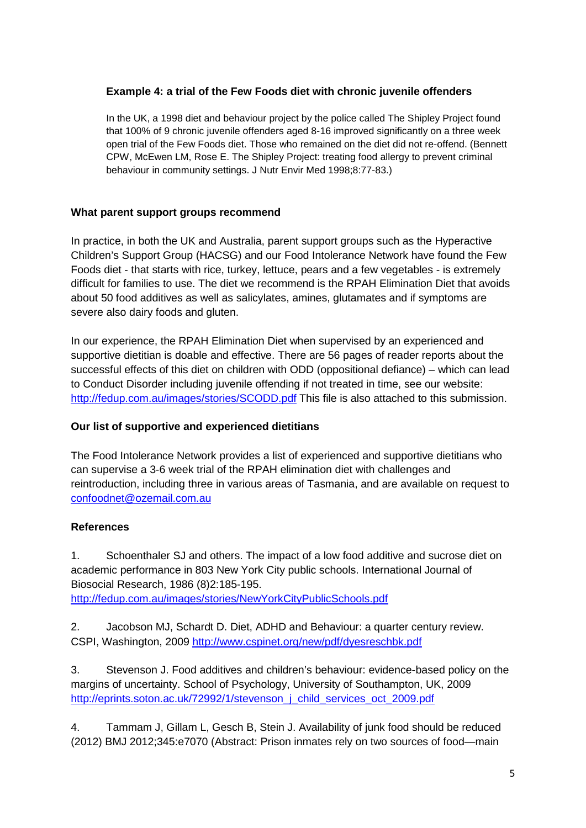# **Example 4: a trial of the Few Foods diet with chronic juvenile offenders**

In the UK, a 1998 diet and behaviour project by the police called The Shipley Project found that 100% of 9 chronic juvenile offenders aged 8-16 improved significantly on a three week open trial of the Few Foods diet. Those who remained on the diet did not re-offend. (Bennett CPW, McEwen LM, Rose E. The Shipley Project: treating food allergy to prevent criminal behaviour in community settings. J Nutr Envir Med 1998;8:77-83.)

# **What parent support groups recommend**

In practice, in both the UK and Australia, parent support groups such as the Hyperactive Children's Support Group (HACSG) and our Food Intolerance Network have found the Few Foods diet - that starts with rice, turkey, lettuce, pears and a few vegetables - is extremely difficult for families to use. The diet we recommend is the RPAH Elimination Diet that avoids about 50 food additives as well as salicylates, amines, glutamates and if symptoms are severe also dairy foods and gluten.

In our experience, the RPAH Elimination Diet when supervised by an experienced and supportive dietitian is doable and effective. There are 56 pages of reader reports about the successful effects of this diet on children with ODD (oppositional defiance) – which can lead to Conduct Disorder including juvenile offending if not treated in time, see our website: <http://fedup.com.au/images/stories/SCODD.pdf> This file is also attached to this submission.

# **Our list of supportive and experienced dietitians**

The Food Intolerance Network provides a list of experienced and supportive dietitians who can supervise a 3-6 week trial of the RPAH elimination diet with challenges and reintroduction, including three in various areas of Tasmania, and are available on request to [confoodnet@ozemail.com.au](mailto:confoodnet@ozemail.com.au)

# **References**

1. Schoenthaler SJ and others. The impact of a low food additive and sucrose diet on academic performance in 803 New York City public schools. International Journal of Biosocial Research, 1986 (8)2:185-195. <http://fedup.com.au/images/stories/NewYorkCityPublicSchools.pdf>

2. Jacobson MJ, Schardt D. Diet, ADHD and Behaviour: a quarter century review. CSPI, Washington, 2009<http://www.cspinet.org/new/pdf/dyesreschbk.pdf>

3. Stevenson J. Food additives and children's behaviour: evidence-based policy on the margins of uncertainty. School of Psychology, University of Southampton, UK, 2009 http://eprints.soton.ac.uk/72992/1/stevenson\_i\_child\_services\_oct\_2009.pdf

4. Tammam J, Gillam L, Gesch B, Stein J. Availability of junk food should be reduced (2012) BMJ 2012;345:e7070 (Abstract: Prison inmates rely on two sources of food—main